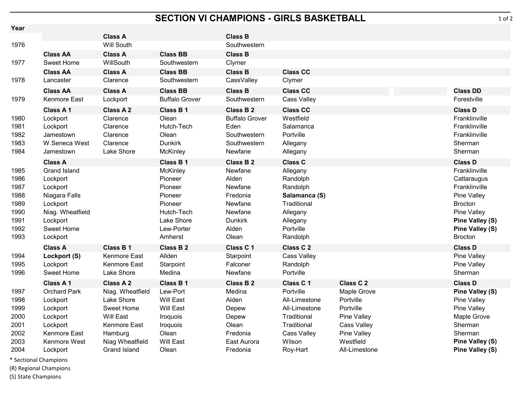## **SECTION VI CHAMPIONS - GIRLS BASKETBALL**

| Year                                                                 |                                                                                                                                    |                                                            |                                                                                                           |                                                                                                   |                                                                                                                   |                            |                                                                                                                                                       |
|----------------------------------------------------------------------|------------------------------------------------------------------------------------------------------------------------------------|------------------------------------------------------------|-----------------------------------------------------------------------------------------------------------|---------------------------------------------------------------------------------------------------|-------------------------------------------------------------------------------------------------------------------|----------------------------|-------------------------------------------------------------------------------------------------------------------------------------------------------|
|                                                                      |                                                                                                                                    | <b>Class A</b>                                             |                                                                                                           | <b>Class B</b>                                                                                    |                                                                                                                   |                            |                                                                                                                                                       |
| 1976                                                                 |                                                                                                                                    | Will South                                                 |                                                                                                           | Southwestern                                                                                      |                                                                                                                   |                            |                                                                                                                                                       |
| 1977                                                                 | <b>Class AA</b><br>Sweet Home                                                                                                      | <b>Class A</b><br>WillSouth                                | <b>Class BB</b><br>Southwestern                                                                           | <b>Class B</b><br>Clymer                                                                          |                                                                                                                   |                            |                                                                                                                                                       |
|                                                                      | <b>Class AA</b>                                                                                                                    | <b>Class A</b>                                             | <b>Class BB</b>                                                                                           | <b>Class B</b>                                                                                    | <b>Class CC</b>                                                                                                   |                            |                                                                                                                                                       |
| 1978                                                                 | Lancaster                                                                                                                          | Clarence                                                   | Southwestern                                                                                              | CassValley                                                                                        | Clymer                                                                                                            |                            |                                                                                                                                                       |
|                                                                      | <b>Class AA</b>                                                                                                                    | <b>Class A</b>                                             | <b>Class BB</b>                                                                                           | <b>Class B</b>                                                                                    | <b>Class CC</b>                                                                                                   |                            | <b>Class DD</b>                                                                                                                                       |
| 1979                                                                 | Kenmore East                                                                                                                       | Lockport                                                   | <b>Buffalo Grover</b>                                                                                     | Southwestern                                                                                      | <b>Cass Valley</b>                                                                                                |                            | Forestville                                                                                                                                           |
|                                                                      | Class A 1                                                                                                                          | <b>Class A2</b>                                            | <b>Class B1</b>                                                                                           | Class B 2                                                                                         | <b>Class CC</b>                                                                                                   |                            | <b>Class D</b>                                                                                                                                        |
| 1980<br>1981<br>1982<br>1983<br>1984                                 | Lockport<br>Lockport<br>Jamestown<br>W.Seneca West<br>Jamestown                                                                    | Clarence<br>Clarence<br>Clarence<br>Clarence<br>Lake Shore | Olean<br>Hutch-Tech<br>Olean<br><b>Dunkirk</b><br>McKinley                                                | <b>Buffalo Grover</b><br>Eden<br>Southwestern<br>Southwestern<br>Newfane                          | Westfield<br>Salamanca<br>Portville<br>Allegany<br>Allegany                                                       |                            | Franklinville<br>Franklinville<br>Franklinville<br>Sherman<br>Sherman                                                                                 |
|                                                                      | <b>Class A</b>                                                                                                                     |                                                            | <b>Class B1</b>                                                                                           | <b>Class B2</b>                                                                                   | <b>Class C</b>                                                                                                    |                            | <b>Class D</b>                                                                                                                                        |
| 1985<br>1986<br>1987<br>1988<br>1989<br>1990<br>1991<br>1992<br>1993 | <b>Grand Island</b><br>Lockport<br>Lockport<br>Niagara Falls<br>Lockport<br>Niag. Wheatfield<br>Lockport<br>Sweet Home<br>Lockport |                                                            | McKinley<br>Pioneer<br>Pioneer<br>Pioneer<br>Pioneer<br>Hutch-Tech<br>Lake Shore<br>Lew-Porter<br>Amherst | Newfane<br>Alden<br>Newfane<br>Fredonia<br>Newfane<br>Newfane<br><b>Dunkirk</b><br>Alden<br>Olean | Allegany<br>Randolph<br>Randolph<br>Salamanca (S)<br>Traditional<br>Allegany<br>Allegany<br>Portville<br>Randolph |                            | Franklinville<br>Cattaraugus<br>Franklinville<br>Pine Valley<br><b>Brocton</b><br>Pine Valley<br>Pine Valley (S)<br>Pine Valley (S)<br><b>Brocton</b> |
|                                                                      | <b>Class A</b>                                                                                                                     | Class B 1                                                  | Class B 2                                                                                                 | Class C 1                                                                                         | Class C <sub>2</sub>                                                                                              |                            | <b>Class D</b>                                                                                                                                        |
| 1994<br>1995<br>1996                                                 | Lockport (S)<br>Lockport<br>Sweet Home                                                                                             | Kenmore East<br>Kenmore East<br>Lake Shore                 | Allden<br>Starpoint<br>Medina                                                                             | Starpoint<br>Falconer<br>Newfane                                                                  | Cass Valley<br>Randolph<br>Portville                                                                              |                            | Pine Valley<br>Pine Valley<br>Sherman                                                                                                                 |
|                                                                      | Class A 1                                                                                                                          | Class A 2                                                  | Class B 1                                                                                                 | Class B <sub>2</sub>                                                                              | Class C 1                                                                                                         | Class C <sub>2</sub>       | <b>Class D</b>                                                                                                                                        |
| 1997                                                                 | <b>Orchard Park</b>                                                                                                                | Niag. Wheatfield                                           | Lew-Port                                                                                                  | Medina                                                                                            | Portville                                                                                                         | Maple Grove                | Pine Valley (S)                                                                                                                                       |
| 1998                                                                 | Lockport                                                                                                                           | Lake Shore                                                 | Will East                                                                                                 | Alden                                                                                             | All-Limestone                                                                                                     | Portville                  | Pine Valley                                                                                                                                           |
| 1999                                                                 | Lockport                                                                                                                           | Sweet Home                                                 | Will East                                                                                                 | Depew                                                                                             | All-Limestone                                                                                                     | Portville                  | Pine Valley                                                                                                                                           |
| 2000                                                                 | Lockport                                                                                                                           | Will East                                                  | Iroquois                                                                                                  | Depew                                                                                             | Traditional                                                                                                       | Pine Valley                | Maple Grove                                                                                                                                           |
| 2001                                                                 | Lockport                                                                                                                           | Kenmore East                                               | Iroquois                                                                                                  | Olean                                                                                             | Traditional                                                                                                       | Cass Valley                | Sherman                                                                                                                                               |
| 2002                                                                 | Kenmore East                                                                                                                       | Hamburg                                                    | Olean                                                                                                     | Fredonia                                                                                          | <b>Cass Valley</b>                                                                                                | Pine Valley                | Sherman                                                                                                                                               |
| 2003<br>2004                                                         | Kenmore West<br>Lockport                                                                                                           | Niag Wheatfield<br><b>Grand Island</b>                     | Will East<br>Olean                                                                                        | East Aurora<br>Fredonia                                                                           | Wilson<br>Roy-Hart                                                                                                | Westfield<br>All-Limestone | <b>Pine Valley (S)</b><br>Pine Valley (S)                                                                                                             |

\* Sectional Champions

(R) Regional Champions

(S) State Champions

1 of 2